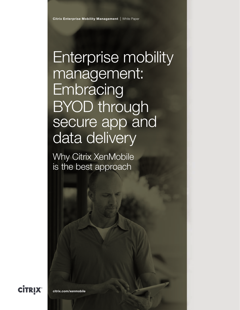Enterprise mobility management: **Embracing** BYOD through secure app and data delivery

Why Citrix XenMobile is the best approach

**CİTRIX** 

[citrix.com/xenmobile](http://www.citrix.com/ workshifting)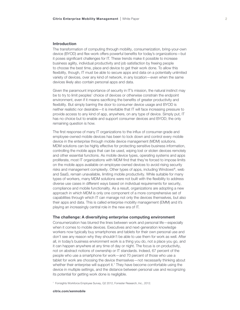## Introduction

The transformation of computing through mobility, consumerization, bring-your-own device (BYOD) and flex-work offers powerful benefits for today's organizations—but it poses significant challenges for IT. These trends make it possible to increase business agility, individual productivity and job satisfaction by freeing people to choose the best time, place and device to get their work done. To allow this flexibility, though, IT must be able to secure apps and data on a potentially unlimited variety of devices, over any kind of network, in any location—even when the same devices likely also contain personal apps and data.

Given the paramount importance of security in IT's mission, the natural instinct may be to try to limit peoples' choice of devices or otherwise constrain the endpoint environment, even if it means sacrificing the benefits of greater productivity and flexibility. But simply barring the door to consumer device usage and BYOD is neither realistic nor desirable—it is inevitable that IT will face increasing pressure to provide access to any kind of app, anywhere, on any type of device. Simply put, IT has no choice but to enable and support consumer devices and BYOD; the only remaining question is how.

The first response of many IT organizations to the influx of consumer-grade and employee-owned mobile devices has been to lock down and control every mobile device in the enterprise through mobile device management (MDM) solutions. MDM solutions can be highly effective for protecting sensitive business information, controlling the mobile apps that can be used, wiping lost or stolen devices remotely and other essential functions. As mobile device types, operating systems and apps proliferate, most IT organizations with MDM find that they're forced to impose limits on the mobile apps available on employee-owned devices to avoid rising security risks and management complexity. Other types of apps, including Windows®, web and SaaS, remain unavailable, limiting mobile productivity. While suitable for many types of workers, many MDM solutions were not built with the flexibility to address diverse use cases in different ways based on individual requirements for security, compliance and mobile functionality. As a result, organizations are adopting a new approach in which MDM is only one component of a more comprehensive set of capabilities through which IT can manage not only the devices themselves, but also their apps and data. This is called enterprise mobility management (EMM) and it's playing an increasingly central role in the new era of IT.

## The challenge: A diversifying enterprise computing environment

Consumerization has blurred the lines between work and personal life—especially when it comes to mobile devices. Executives and next-generation knowledge workers now typically buy smartphones and tablets for their own personal use and don't see any reason why they shouldn't be able to use them for work as well. After all, in today's business environment work is a thing you do, not a place you go, and it can happen anywhere at any time of day or night. The focus is on productivity, not on abstract notions of ownership or IT standards. Indeed, 67 percent of the people who use a smartphone for work—and 70 percent of those who use a tablet for work are choosing the device themselves—not necessarily thinking about whether their enterprise will support it.<sup>1</sup> They have become comfortable using the device in multiple settings, and the distance between personal use and recognizing its potential for getting work done is negligible.

<sup>1</sup> Forrsights Workforce Employee Survey, Q2 2012, Forrester Research, Inc., 2012.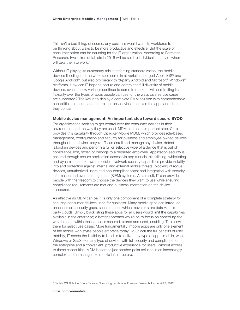This isn't a bad thing, of course; any business would want its workforce to be thinking about ways to be more productive and effective. But the scale of consumerization can be daunting for the IT organization. According to Forrester Research, two-thirds of tablets in 2016 will be sold to individuals, many of whom will take them to work.<sup>2</sup>

Without IT playing its customary role in enforcing standardization, the mobile devices flooding into the workplace come in all varieties: not just Apple iOS® and Google Android®, but also proprietary third-party Android and Microsoft® Windows® platforms. How can IT hope to secure and control the full diversity of mobile devices, even as new varieties continue to come to market—without limiting its flexibility over the types of apps people can use, or the ways diverse use cases are supported? The key is to deploy a complete EMM solution with comprehensive capabilities to secure and control not only devices, but also the apps and data they contain.

### Mobile device management: An important step toward secure BYOD

For organizations seeking to get control over the consumer devices in their environment and the way they are used, MDM can be an important step. Citrix provides this capability through Citrix XenMobile MDM, which provides role-based management, configuration and security for business and employee-owned devices throughout the device lifecycle. IT can enroll and manage any device, detect jailbroken devices and perform a full or selective wipe of a device that is out of compliance, lost, stolen or belongs to a departed employee. Application security is ensured through secure application access via app tunnels, blacklisting, whitelisting and dynamic, context-aware policies. Network security capabilities provide visibility into and protection against internal and external mobile threats; blocking of rogue devices, unauthorized users and non-compliant apps; and integration with security information and event management (SIEM) systems. As a result, IT can provide people with the freedom to choose the devices they want to use while ensuring compliance requirements are met and business information on the device is secured.

As effective as MDM can be, it is only one component of a complete strategy for securing consumer devices used for business. Many mobile apps can introduce unacceptable security gaps, such as those which move or store data via thirdparty clouds. Simply blacklisting these apps for all users would limit the capabilities available in the enterprise; a better approach would be to focus on controlling the way the data within these apps is secured, stored and used, enabling IT to allow them for select use cases. More fundamentally, mobile apps are only one element of the mobile workstyles people embrace today. To unlock the full benefits of user mobility, IT needs the flexibility to be able to deliver any type of app—mobile, web, Windows or SaaS—on any type of device, with full security and compliance for the enterprise and a convenient, productive experience for users. Without access to these capabilities, MDM becomes just another point solution in an increasingly complex and unmanageable mobile infrastructure.

<sup>&</sup>lt;sup>2</sup> Tablets Will Rule the Future Personal Computing Landscape, Forrester Research, Inc., April 23, 2012.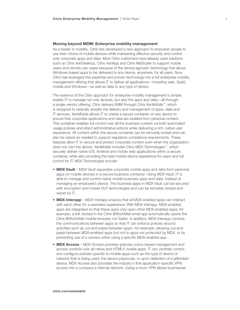#### Moving beyond MDM: Enterprise mobility management

As a leader in mobility, Citrix has developed a new approach to empower people to use their choice of mobile devices while maintaining effective security and control over corporate apps and data. Most Citrix customers have already used solutions such as Citrix XenDesktop, Citrix XenApp and Citrix NetScaler to support mobile users and remote use cases because of the device-agnostic technology that allows Windows-based apps to be delivered to any device, anywhere, for all users. Now Citrix has leveraged this expertise and proven technology into a full enterprise mobility management offering that allows IT to deliver all applications—including web, SaaS, mobile and Windows—as well as data to any type of device.

The essence of the Citrix approach for enterprise mobility management is simple: enable IT to manage not only devices, but also the apps and data—all through a single-vendor offering. Citrix delivers EMM through Citrix XenMobile™, which is designed to radically simplify the delivery and management of apps, data and IT services. XenMobile allows IT to create a secure container on any device to ensure that corporate applications and data are isolated from personal content. This container enables full control over all the business content via both automated usage policies and direct administrative actions while delivering a rich, native user experience. All content within the secure container can be remotely locked and can also be wiped as needed to support regulatory compliance requirements. These features allow IT to secure and protect corporate content even when the organization does not own the device. XenMobile includes Citrix MDX Technologies™, which securely deliver native iOS, Android and mobile web applications within a secure container, while also providing the best mobile device experience for users and full control for IT. MDX Technologies include:

- MDX Vault MDX Vault separates corporate mobile apps and data from personal apps on mobile devices in a secure business container. Using MDX Vault, IT is able to manage and control native mobile business apps and data, instead of managing an employee's device. The business apps in MDX Vault can be secured with encryption and mobile DLP technologies and can be remotely locked and wiped by IT.
- MDX Interapp MDX Interapp ensures that all MDX-enabled apps can interact with each other for a seamless experience. With MDX Interapp, MDX-enabled apps are integrated so that these apps only open other MDX-enabled apps; for example, a link clicked in the Citrix @WorkMail email app automatically opens the Citrix @WorkWeb mobile browser, not Safari. In addition, MDX Interapp controls the communications between apps so that IT can enforce policies around activities such as cut-and-paste between apps—for example, allowing cut-andpaste between MDX-enabled apps but not to apps not protected by MDX, or by preventing use of a camera when using a specific MDX-enabled app.
- MDX Access MDX Access provides granular policy-based management and access controls over all native and HTML5 mobile apps. IT can centrally control and configure policies specific to mobile apps such as the type of device or network that is being used, the device passcode, or upon detection of a jailbroken device. MDX Access also provides the industry's first application-specific VPN access into a company's internal network. Using a micro VPN allows businesses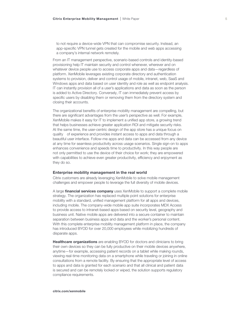to not require a device-wide VPN that can compromise security. Instead, an app-specific VPN tunnel gets created for the mobile and web apps accessing a company's internal network remotely.

From an IT management perspective, scenario-based controls and identity-based provisioning help IT maintain security and control whenever, wherever and on whatever device people use to access corporate apps and data—regardless of platform. XenMobile leverages existing corporate directory and authentication systems to provision, deliver and control usage of mobile, intranet, web, SaaS and Windows apps and data based on user identity and role as well as endpoint analysis. IT can instantly provision all of a user's applications and data as soon as the person is added to Active Directory. Conversely, IT can immediately prevent access by specific users by disabling them or removing them from the directory system and closing their accounts.

The organizational benefits of enterprise mobility management are compelling, but there are significant advantages from the user's perspective as well. For example, XenMobile makes it easy for IT to implement a unified app store, a growing trend that helps businesses achieve greater application ROI and mitigate security risks. At the same time, the user-centric design of the app store has a unique focus on quality of experience and provides instant access to apps and data through a beautiful user interface. Follow-me apps and data can be accessed from any device at any time for seamless productivity across usage scenarios. Single sign-on to apps enhances convenience and speeds time to productivity. In this way people are not only permitted to use the device of their choice for work; they are empowered with capabilities to achieve even greater productivity, efficiency and enjoyment as they do so.

#### Enterprise mobility management in the real world

Citrix customers are already leveraging XenMobile to solve mobile management challenges and empower people to leverage the full diversity of mobile devices.

A large **financial services company** uses XenMobile to support a complete mobile strategy. The organization has replaced multiple point solutions for enterprise mobility with a standard, unified management platform for all apps and devices, including mobile. The company-wide mobile app suite incorporates MDX Access to provide access to intranet-based apps based on security level, geography and business unit. Native mobile apps are delivered into a secure container to maintain separation between business apps and data and the worker's personal content. With this complete enterprise mobility management platform in place, the company has introduced BYOD for over 20,000 employees while mobilizing hundreds of disparate apps.

**Healthcare organizations** are enabling BYOD for doctors and clinicians to bring their own devices so they can be fully productive on their mobile devices anywhere, anytime—for example, accessing patient records on a tablet while making rounds, viewing real-time monitoring data on a smartphone while traveling or joining in online consultations from a remote facility. By ensuring that the appropriate level of access to apps and data is granted for each scenario and that all clinical and patient data is secured and can be remotely locked or wiped, the solution supports regulatory compliance requirements.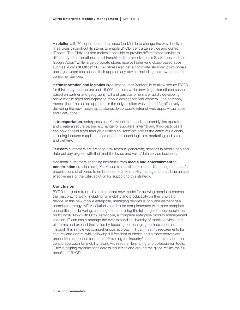A retailer with 70 supermarkets has used XenMobile to change the way it delivers IT services throughout its stores to enable BYOD, centralize service and control IT costs. The Citrix solution makes it possible to provide differentiated service to different types of locations; small franchise stores receive basic SaaS apps such as Google Apps® while large corporate stores receive higher-end cloud-based apps such as Microsoft Office® 365. All stores also get a corporate standard point-of-sale package. Users can access their apps on any device, including their own personal consumer devices.

A **transportation and logistics** organization uses XenMobile to allow secure BYOD for third-party contractors and 15,000 partners while providing differentiated service based on partner and geography. Oil and gas customers are rapidly developing native mobile apps and deploying mobile devices for field workers. One company reports that "the unified app store is the only solution we've found for effectively delivering the new mobile apps alongside corporate intranet web apps, virtual apps and SaaS apps."

In **transportation**, enterprises use XenMobile to mobilize assembly line operators and create a secure partner exchange for suppliers. Internal and third-party users can now access apps through a unified environment across the entire value chain, including inbound suppliers, operations, outbound logistics, marketing and sales and delivery.

**Telecom** customers are creating new revenue-generating services in mobile app and data delivery aligned with their mobile device and voice/data service business.

Additional customers spanning industries from **media and entertainment** to construction are also using XenMobile to mobilize their data, illustrating the need for organizations of all kinds to embrace enterprise mobility management and the unique effectiveness of the Citrix solution for supporting this strategy.

## Conclusion

BYOD isn't just a trend; it's an important new model for allowing people to choose the best way to work, including full mobility and productivity on their choice of device. In this new mobile enterprise, managing devices is only one element of a complete strategy; MDM solutions need to be complemented with more complete capabilities for delivering, securing and controlling the full range of apps people rely on for work. Now with Citrix XenMobile, a complete enterprise mobility management solution, IT can easily manage the ever-expanding diversity of mobile devices and platforms and expand their value by focusing on managing business content. Through this simple yet comprehensive approach, IT can meet its requirements for security and control while allowing full freedom of choice and a more convenient, productive experience for people. Providing the industry's most complete and usercentric approach for mobility, along with secure file sharing and collaboration tools, Citrix is helping organizations across industries and around the globe realize the full benefits of BYOD.